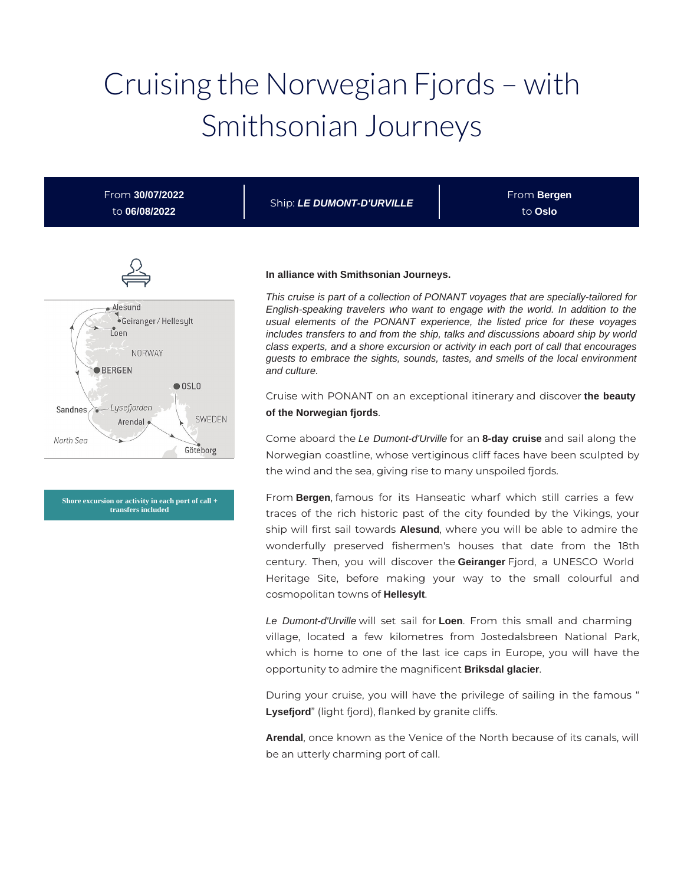# Cruising the Norwegian Fjords – with Smithsonian Journeys

From **30/07/2022** to **06/08/2022**

Ship: **LE DUMONT-D'URVILLE**

From **Bergen** to **Oslo**



**Shore excursion or activity in each port of call + transfers included**

#### **In alliance with Smithsonian Journeys.**

This cruise is part of a collection of PONANT voyages that are specially-tailored for English-speaking travelers who want to engage with the world. In addition to the usual elements of the PONANT experience, the listed price for these voyages includes transfers to and from the ship, talks and discussions aboard ship by world class experts, and a shore excursion or activity in each port of call that encourages guests to embrace the sights, sounds, tastes, and smells of the local environment and culture.

Cruise with PONANT on an exceptional itinerary and discover **the beauty of the Norwegian fjords**.

Come aboard the Le Dumont-d'Urville for an **8-day cruise** and sail along the Norwegian coastline, whose vertiginous cliff faces have been sculpted by the wind and the sea, giving rise to many unspoiled fjords.

From **Bergen**, famous for its Hanseatic wharf which still carries a few traces of the rich historic past of the city founded by the Vikings, your ship will first sail towards **Alesund**, where you will be able to admire the wonderfully preserved fishermen's houses that date from the 18th century. Then, you will discover the **Geiranger** Fjord, a UNESCO World Heritage Site, before making your way to the small colourful and cosmopolitan towns of **Hellesylt**.

Le Dumont-d'Urville will set sail for **Loen**. From this small and charming village, located a few kilometres from Jostedalsbreen National Park, which is home to one of the last ice caps in Europe, you will have the opportunity to admire the magnificent **Briksdal glacier**.

During your cruise, you will have the privilege of sailing in the famous " **Lysefjord**" (light fjord), flanked by granite cliffs.

**Arendal**, once known as the Venice of the North because of its canals, will be an utterly charming port of call.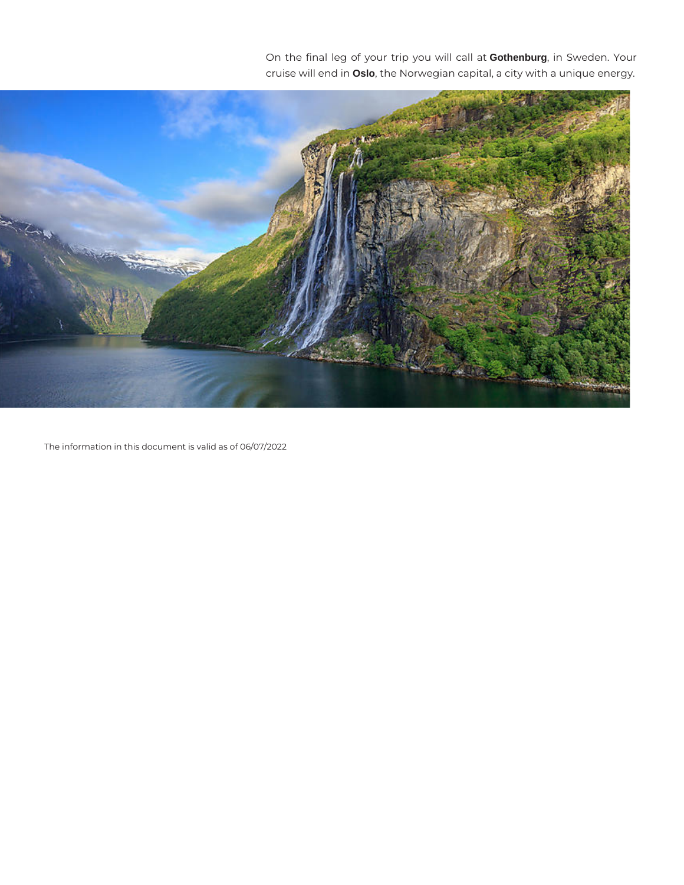On the final leg of your trip you will call at **Gothenburg**, in Sweden. Your cruise will end in **Oslo**, the Norwegian capital, a city with a unique energy.



The information in this document is valid as of 06/07/2022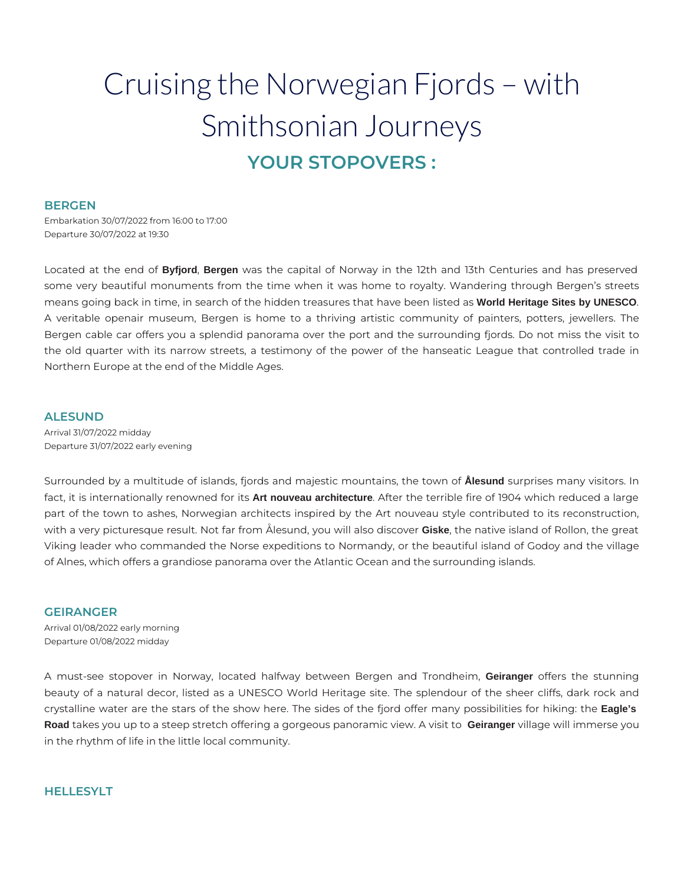## Cruising the Norwegian Fjords – with Smithsonian Journeys **YOUR STOPOVERS :**

#### **BERGEN**

Embarkation 30/07/2022 from 16:00 to 17:00 Departure 30/07/2022 at 19:30

Located at the end of **Byfjord**, **Bergen** was the capital of Norway in the 12th and 13th Centuries and has preserved some very beautiful monuments from the time when it was home to royalty. Wandering through Bergen's streets means going back in time, in search of the hidden treasures that have been listed as **World Heritage Sites by UNESCO**. A veritable openair museum, Bergen is home to a thriving artistic community of painters, potters, jewellers. The Bergen cable car offers you a splendid panorama over the port and the surrounding fjords. Do not miss the visit to the old quarter with its narrow streets, a testimony of the power of the hanseatic League that controlled trade in Northern Europe at the end of the Middle Ages.

#### **ALESUND**

Arrival 31/07/2022 midday Departure 31/07/2022 early evening

Surrounded by a multitude of islands, fjords and majestic mountains, the town of **Ålesund** surprises many visitors. In fact, it is internationally renowned for its **Art nouveau architecture**. After the terrible fire of 1904 which reduced a large part of the town to ashes, Norwegian architects inspired by the Art nouveau style contributed to its reconstruction, with a very picturesque result. Not far from Ålesund, you will also discover **Giske**, the native island of Rollon, the great Viking leader who commanded the Norse expeditions to Normandy, or the beautiful island of Godoy and the village of Alnes, which offers a grandiose panorama over the Atlantic Ocean and the surrounding islands.

#### **GEIRANGER**

Arrival 01/08/2022 early morning Departure 01/08/2022 midday

A must-see stopover in Norway, located halfway between Bergen and Trondheim, **Geiranger** offers the stunning beauty of a natural decor, listed as a UNESCO World Heritage site. The splendour of the sheer cliffs, dark rock and crystalline water are the stars of the show here. The sides of the fjord offer many possibilities for hiking: the **Eagle's Road** takes you up to a steep stretch offering a gorgeous panoramic view. A visit to **Geiranger** village will immerse you in the rhythm of life in the little local community.

#### **HELLESYLT**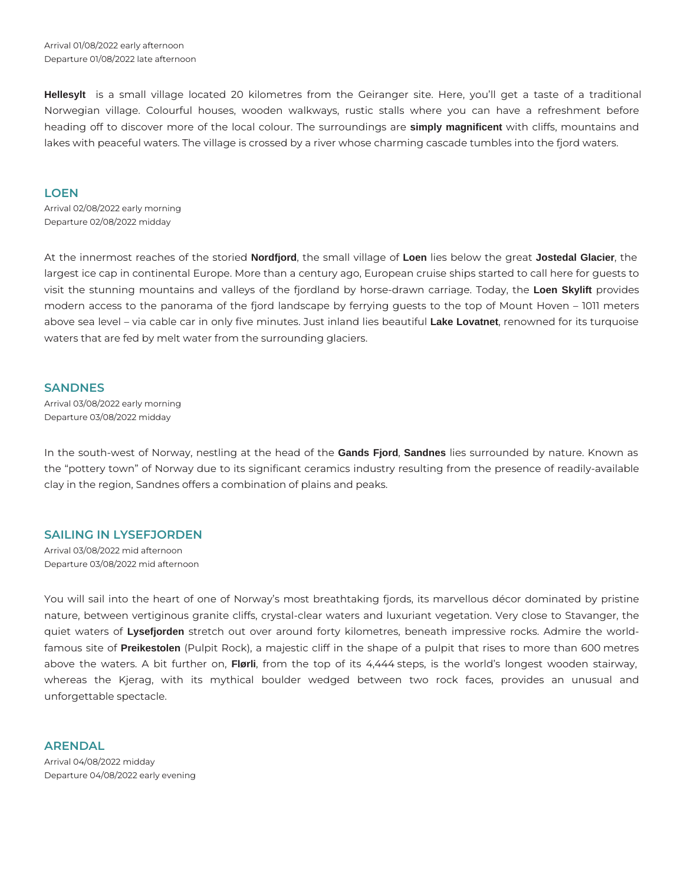Arrival 01/08/2022 early afternoon Departure 01/08/2022 late afternoon

**Hellesylt** is a small village located 20 kilometres from the Geiranger site. Here, you'll get a taste of a traditional Norwegian village. Colourful houses, wooden walkways, rustic stalls where you can have a refreshment before heading off to discover more of the local colour. The surroundings are **simply magnificent** with cliffs, mountains and lakes with peaceful waters. The village is crossed by a river whose charming cascade tumbles into the fjord waters.

#### **LOEN**

Arrival 02/08/2022 early morning Departure 02/08/2022 midday

At the innermost reaches of the storied **Nordfjord**, the small village of **Loen** lies below the great **Jostedal Glacier**, the largest ice cap in continental Europe. More than a century ago, European cruise ships started to call here for guests to visit the stunning mountains and valleys of the fjordland by horse-drawn carriage. Today, the **Loen Skylift** provides modern access to the panorama of the fjord landscape by ferrying guests to the top of Mount Hoven – 1011 meters above sea level – via cable car in only five minutes. Just inland lies beautiful **Lake Lovatnet**, renowned for its turquoise waters that are fed by melt water from the surrounding glaciers.

#### **SANDNES**

Arrival 03/08/2022 early morning Departure 03/08/2022 midday

In the south-west of Norway, nestling at the head of the **Gands Fjord**, **Sandnes** lies surrounded by nature. Known as the "pottery town" of Norway due to its significant ceramics industry resulting from the presence of readily-available clay in the region, Sandnes offers a combination of plains and peaks.

#### **SAILING IN LYSEFJORDEN**

Arrival 03/08/2022 mid afternoon Departure 03/08/2022 mid afternoon

You will sail into the heart of one of Norway's most breathtaking fjords, its marvellous décor dominated by pristine nature, between vertiginous granite cliffs, crystal-clear waters and luxuriant vegetation. Very close to Stavanger, the quiet waters of **Lysefjorden** stretch out over around forty kilometres, beneath impressive rocks. Admire the worldfamous site of **Preikestolen** (Pulpit Rock), a majestic cliff in the shape of a pulpit that rises to more than 600 metres above the waters. A bit further on, **Flørli**, from the top of its 4,444 steps, is the world's longest wooden stairway, whereas the Kjerag, with its mythical boulder wedged between two rock faces, provides an unusual and unforgettable spectacle.

**ARENDAL**  Arrival 04/08/2022 midday Departure 04/08/2022 early evening